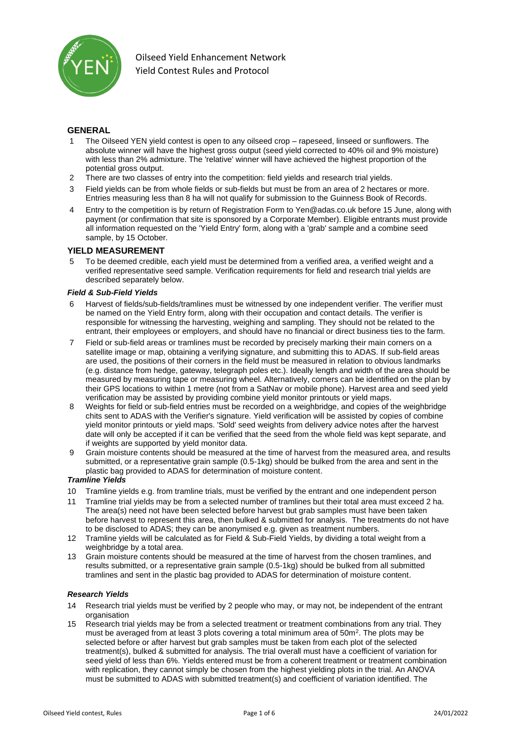

# **GENERAL**

- The Oilseed YEN yield contest is open to any oilseed crop rapeseed, linseed or sunflowers. The absolute winner will have the highest gross output (seed yield corrected to 40% oil and 9% moisture) with less than 2% admixture. The 'relative' winner will have achieved the highest proportion of the potential gross output.
- 2 There are two classes of entry into the competition: field yields and research trial yields.
- 3 Field yields can be from whole fields or sub-fields but must be from an area of 2 hectares or more. Entries measuring less than 8 ha will not qualify for submission to the Guinness Book of Records.
- 4 Entry to the competition is by return of Registration Form to Yen@adas.co.uk before 15 June, along with payment (or confirmation that site is sponsored by a Corporate Member). Eligible entrants must provide all information requested on the 'Yield Entry' form, along with a 'grab' sample and a combine seed sample, by 15 October.

### **YIELD MEASUREMENT**

5 To be deemed credible, each yield must be determined from a verified area, a verified weight and a verified representative seed sample. Verification requirements for field and research trial yields are described separately below.

#### *Field & Sub-Field Yields*

- 6 Harvest of fields/sub-fields/tramlines must be witnessed by one independent verifier. The verifier must be named on the Yield Entry form, along with their occupation and contact details. The verifier is responsible for witnessing the harvesting, weighing and sampling. They should not be related to the entrant, their employees or employers, and should have no financial or direct business ties to the farm.
- 7 Field or sub-field areas or tramlines must be recorded by precisely marking their main corners on a satellite image or map, obtaining a verifying signature, and submitting this to ADAS. If sub-field areas are used, the positions of their corners in the field must be measured in relation to obvious landmarks (e.g. distance from hedge, gateway, telegraph poles etc.). Ideally length and width of the area should be measured by measuring tape or measuring wheel. Alternatively, corners can be identified on the plan by their GPS locations to within 1 metre (not from a SatNav or mobile phone). Harvest area and seed yield verification may be assisted by providing combine yield monitor printouts or yield maps.
- 8 Weights for field or sub-field entries must be recorded on a weighbridge, and copies of the weighbridge chits sent to ADAS with the Verifier's signature. Yield verification will be assisted by copies of combine yield monitor printouts or yield maps. 'Sold' seed weights from delivery advice notes after the harvest date will only be accepted if it can be verified that the seed from the whole field was kept separate, and if weights are supported by yield monitor data.
- 9 Grain moisture contents should be measured at the time of harvest from the measured area, and results submitted, or a representative grain sample (0.5-1kg) should be bulked from the area and sent in the plastic bag provided to ADAS for determination of moisture content.

### *Tramline Yields*

- 10 Tramline yields e.g. from tramline trials, must be verified by the entrant and one independent person
- 11 Tramline trial yields may be from a selected number of tramlines but their total area must exceed 2 ha. The area(s) need not have been selected before harvest but grab samples must have been taken before harvest to represent this area, then bulked & submitted for analysis. The treatments do not have to be disclosed to ADAS; they can be anonymised e.g. given as treatment numbers.
- 12 Tramline yields will be calculated as for Field & Sub-Field Yields, by dividing a total weight from a weighbridge by a total area.
- 13 Grain moisture contents should be measured at the time of harvest from the chosen tramlines, and results submitted, or a representative grain sample (0.5-1kg) should be bulked from all submitted tramlines and sent in the plastic bag provided to ADAS for determination of moisture content.

#### *Research Yields*

- 14 Research trial yields must be verified by 2 people who may, or may not, be independent of the entrant organisation
- 15 Research trial yields may be from a selected treatment or treatment combinations from any trial. They must be averaged from at least 3 plots covering a total minimum area of  $50m^2$ . The plots may be selected before or after harvest but grab samples must be taken from each plot of the selected treatment(s), bulked & submitted for analysis. The trial overall must have a coefficient of variation for seed yield of less than 6%. Yields entered must be from a coherent treatment or treatment combination with replication, they cannot simply be chosen from the highest yielding plots in the trial. An ANOVA must be submitted to ADAS with submitted treatment(s) and coefficient of variation identified. The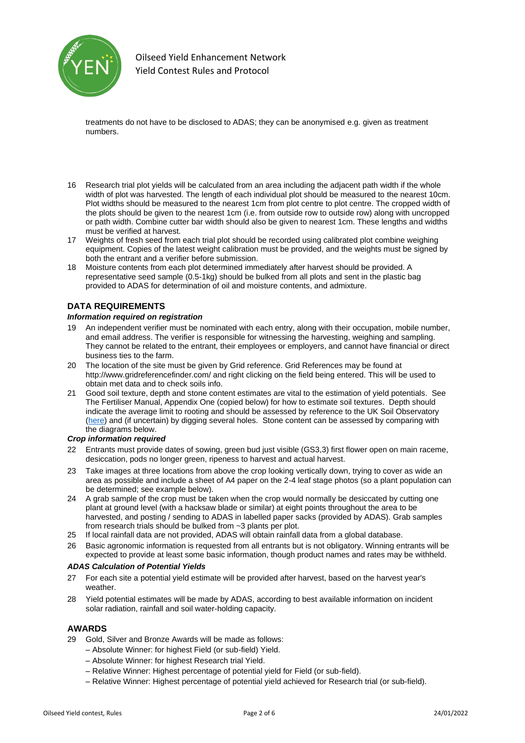

treatments do not have to be disclosed to ADAS; they can be anonymised e.g. given as treatment numbers.

- 16 Research trial plot yields will be calculated from an area including the adjacent path width if the whole width of plot was harvested. The length of each individual plot should be measured to the nearest 10cm. Plot widths should be measured to the nearest 1cm from plot centre to plot centre. The cropped width of the plots should be given to the nearest 1cm (i.e. from outside row to outside row) along with uncropped or path width. Combine cutter bar width should also be given to nearest 1cm. These lengths and widths must be verified at harvest.
- 17 Weights of fresh seed from each trial plot should be recorded using calibrated plot combine weighing equipment. Copies of the latest weight calibration must be provided, and the weights must be signed by both the entrant and a verifier before submission.
- 18 Moisture contents from each plot determined immediately after harvest should be provided. A representative seed sample (0.5-1kg) should be bulked from all plots and sent in the plastic bag provided to ADAS for determination of oil and moisture contents, and admixture.

### **DATA REQUIREMENTS**

#### *Information required on registration*

- 19 An independent verifier must be nominated with each entry, along with their occupation, mobile number, and email address. The verifier is responsible for witnessing the harvesting, weighing and sampling. They cannot be related to the entrant, their employees or employers, and cannot have financial or direct business ties to the farm.
- 20 The location of the site must be given by Grid reference. Grid References may be found at http://www.gridreferencefinder.com/ and right clicking on the field being entered. This will be used to obtain met data and to check soils info.
- 21 Good soil texture, depth and stone content estimates are vital to the estimation of yield potentials. See The Fertiliser Manual, Appendix One (copied below) for how to estimate soil textures. Depth should indicate the average limit to rooting and should be assessed by reference to the UK Soil Observatory [\(here\)](http://mapapps2.bgs.ac.uk/ukso/home.html) and (if uncertain) by digging several holes. Stone content can be assessed by comparing with the diagrams below.

#### *Crop information required*

- 22 Entrants must provide dates of sowing, green bud just visible (GS3,3) first flower open on main raceme, desiccation, pods no longer green, ripeness to harvest and actual harvest.
- 23 Take images at three locations from above the crop looking vertically down, trying to cover as wide an area as possible and include a sheet of A4 paper on the 2-4 leaf stage photos (so a plant population can be determined; see example below).
- 24 A grab sample of the crop must be taken when the crop would normally be desiccated by cutting one plant at ground level (with a hacksaw blade or similar) at eight points throughout the area to be harvested, and posting / sending to ADAS in labelled paper sacks (provided by ADAS). Grab samples from research trials should be bulked from ~3 plants per plot.
- 25 If local rainfall data are not provided, ADAS will obtain rainfall data from a global database.
- 26 Basic agronomic information is requested from all entrants but is not obligatory. Winning entrants will be expected to provide at least some basic information, though product names and rates may be withheld.

#### *ADAS Calculation of Potential Yields*

- 27 For each site a potential yield estimate will be provided after harvest, based on the harvest year's weather.
- 28 Yield potential estimates will be made by ADAS, according to best available information on incident solar radiation, rainfall and soil water-holding capacity.

### **AWARDS**

- 29 Gold, Silver and Bronze Awards will be made as follows:
	- Absolute Winner: for highest Field (or sub-field) Yield.
	- Absolute Winner: for highest Research trial Yield.
	- Relative Winner: Highest percentage of potential yield for Field (or sub-field).
	- Relative Winner: Highest percentage of potential yield achieved for Research trial (or sub-field).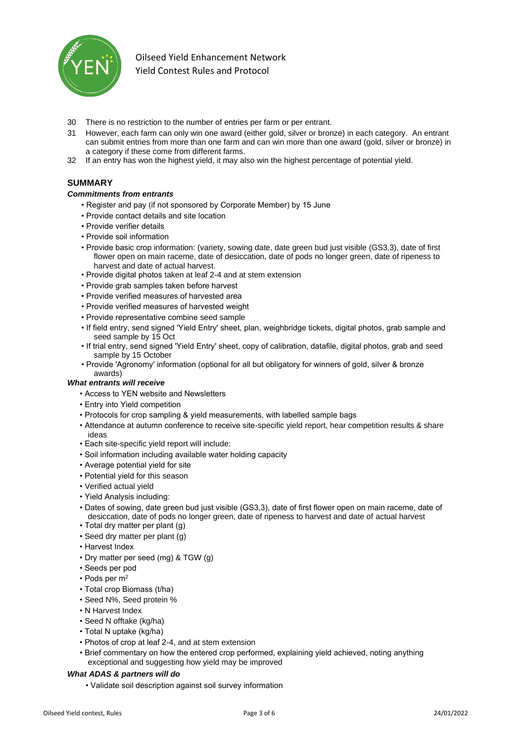

- 30 There is no restriction to the number of entries per farm or per entrant.
- 31 However, each farm can only win one award (either gold, silver or bronze) in each category. An entrant can submit entries from more than one farm and can win more than one award (gold, silver or bronze) in a category if these come from different farms.
- 32 If an entry has won the highest yield, it may also win the highest percentage of potential yield.

## **SUMMARY**

#### *Commitments from entrants*

- Register and pay (if not sponsored by Corporate Member) by 15 June
- Provide contact details and site location
- Provide verifier details
- Provide soil information
- Provide basic crop information: (variety, sowing date, date green bud just visible (GS3,3), date of first flower open on main raceme, date of desiccation, date of pods no longer green, date of ripeness to harvest and date of actual harvest.
- Provide digital photos taken at leaf 2-4 and at stem extension
- Provide grab samples taken before harvest
- Provide verified measures of harvested area
- Provide verified measures of harvested weight
- Provide representative combine seed sample
- If field entry, send signed 'Yield Entry' sheet, plan, weighbridge tickets, digital photos, grab sample and seed sample by 15 Oct
- If trial entry, send signed 'Yield Entry' sheet, copy of calibration, datafile, digital photos, grab and seed sample by 15 October
- Provide 'Agronomy' information (optional for all but obligatory for winners of gold, silver & bronze awards)

### *What entrants will receive*

- Access to YEN website and Newsletters
- Entry into Yield competition
- Protocols for crop sampling & yield measurements, with labelled sample bags
- Attendance at autumn conference to receive site-specific yield report, hear competition results & share ideas
- Each site-specific yield report will include:
- Soil information including available water holding capacity
- Average potential yield for site
- Potential yield for this season
- Verified actual yield
- Yield Analysis including:
- Dates of sowing, date green bud just visible (GS3,3), date of first flower open on main raceme, date of desiccation, date of pods no longer green, date of ripeness to harvest and date of actual harvest
- Total dry matter per plant (g)
- Seed dry matter per plant (g)
- Harvest Index
- Dry matter per seed (mg) & TGW (g)
- Seeds per pod
- Pods per m<sup>2</sup>
- Total crop Biomass (t/ha)
- Seed N%, Seed protein %
- N Harvest Index
- Seed N offtake (kg/ha)
- Total N uptake (kg/ha)
- Photos of crop at leaf 2-4, and at stem extension
- Brief commentary on how the entered crop performed, explaining yield achieved, noting anything exceptional and suggesting how yield may be improved

### *What ADAS & partners will do*

• Validate soil description against soil survey information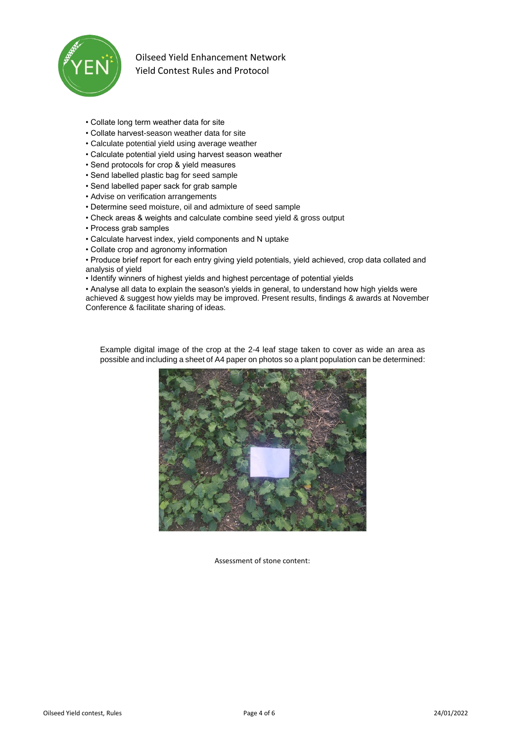

- Collate long term weather data for site
- Collate harvest-season weather data for site
- Calculate potential yield using average weather
- Calculate potential yield using harvest season weather
- Send protocols for crop & yield measures
- Send labelled plastic bag for seed sample
- Send labelled paper sack for grab sample
- Advise on verification arrangements
- Determine seed moisture, oil and admixture of seed sample
- Check areas & weights and calculate combine seed yield & gross output
- Process grab samples
- Calculate harvest index, yield components and N uptake
- Collate crop and agronomy information

• Produce brief report for each entry giving yield potentials, yield achieved, crop data collated and analysis of yield

• Identify winners of highest yields and highest percentage of potential yields

• Analyse all data to explain the season's yields in general, to understand how high yields were achieved & suggest how yields may be improved. Present results, findings & awards at November Conference & facilitate sharing of ideas.

Example digital image of the crop at the 2-4 leaf stage taken to cover as wide an area as possible and including a sheet of A4 paper on photos so a plant population can be determined:



Assessment of stone content: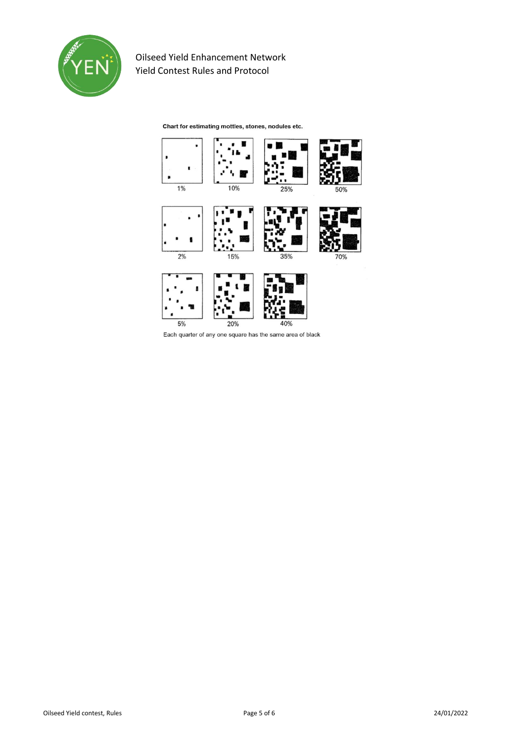

Chart for estimating mottles, stones, nodules etc.



Each quarter of any one square has the same area of black